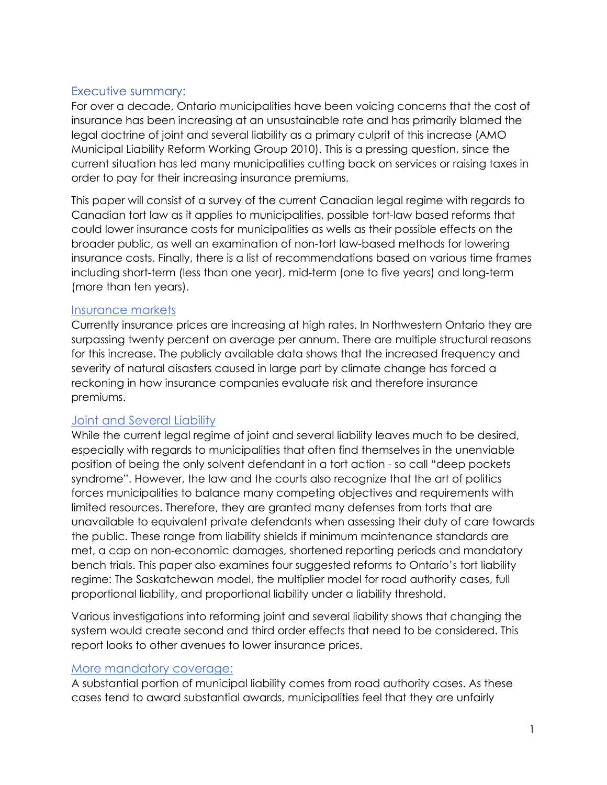## Executive summary:

For over a decade, Ontario municipalities have been voicing concerns that the cost of insurance has been increasing at an unsustainable rate and has primarily blamed the legal doctrine of joint and several liability as a primary culprit of this increase (AMO Municipal Liability Reform Working Group 2010). This is a pressing question, since the current situation has led many municipalities cutting back on services or raising taxes in order to pay for their increasing insurance premiums.

This paper will consist of a survey of the current Canadian legal regime with regards to Canadian tort law as it applies to municipalities, possible tort-law based reforms that could lower insurance costs for municipalities as wells as their possible effects on the broader public, as well an examination of non-tort law-based methods for lowering insurance costs. Finally, there is a list of recommendations based on various time frames including short-term (less than one year), mid-term (one to five years) and long-term (more than ten years).

## Insurance markets

Currently insurance prices are increasing at high rates. In Northwestern Ontario they are surpassing twenty percent on average per annum. There are multiple structural reasons for this increase. The publicly available data shows that the increased frequency and severity of natural disasters caused in large part by climate change has forced a reckoning in how insurance companies evaluate risk and therefore insurance premiums.

# Joint and Several Liability

While the current legal regime of joint and several liability leaves much to be desired, especially with regards to municipalities that often find themselves in the unenviable position of being the only solvent defendant in a tort action - so call "deep pockets syndrome". However, the law and the courts also recognize that the art of politics forces municipalities to balance many competing objectives and requirements with limited resources. Therefore, they are granted many defenses from torts that are unavailable to equivalent private defendants when assessing their duty of care towards the public. These range from liability shields if minimum maintenance standards are met, a cap on non-economic damages, shortened reporting periods and mandatory bench trials. This paper also examines four suggested reforms to Ontario's tort liability regime: The Saskatchewan model, the multiplier model for road authority cases, full proportional liability, and proportional liability under a liability threshold.

Various investigations into reforming joint and several liability shows that changing the system would create second and third order effects that need to be considered. This report looks to other avenues to lower insurance prices.

### More mandatory coverage:

A substantial portion of municipal liability comes from road authority cases. As these cases tend to award substantial awards, municipalities feel that they are unfairly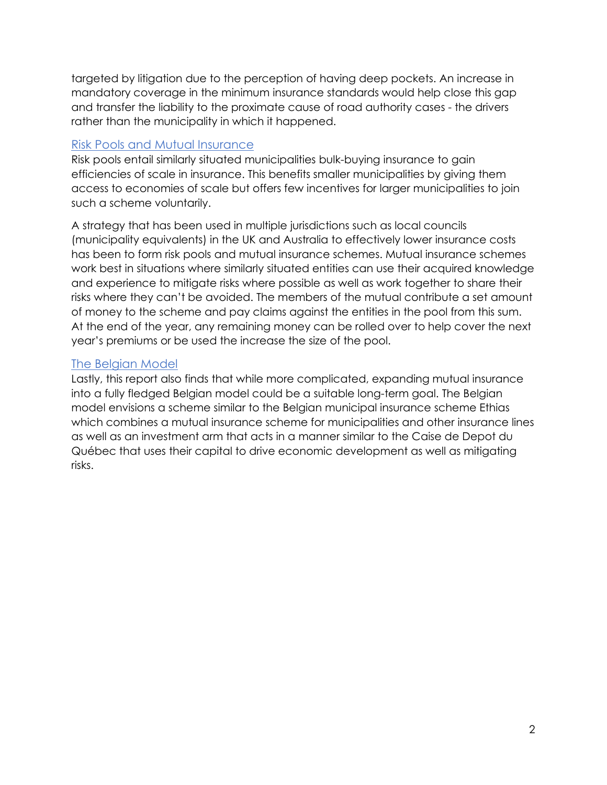targeted by litigation due to the perception of having deep pockets. An increase in mandatory coverage in the minimum insurance standards would help close this gap and transfer the liability to the proximate cause of road authority cases - the drivers rather than the municipality in which it happened.

## Risk Pools and Mutual Insurance

Risk pools entail similarly situated municipalities bulk-buying insurance to gain efficiencies of scale in insurance. This benefits smaller municipalities by giving them access to economies of scale but offers few incentives for larger municipalities to join such a scheme voluntarily.

A strategy that has been used in multiple jurisdictions such as local councils (municipality equivalents) in the UK and Australia to effectively lower insurance costs has been to form risk pools and mutual insurance schemes. Mutual insurance schemes work best in situations where similarly situated entities can use their acquired knowledge and experience to mitigate risks where possible as well as work together to share their risks where they can't be avoided. The members of the mutual contribute a set amount of money to the scheme and pay claims against the entities in the pool from this sum. At the end of the year, any remaining money can be rolled over to help cover the next year's premiums or be used the increase the size of the pool.

# The Belgian Model

Lastly, this report also finds that while more complicated, expanding mutual insurance into a fully fledged Belgian model could be a suitable long-term goal. The Belgian model envisions a scheme similar to the Belgian municipal insurance scheme Ethias which combines a mutual insurance scheme for municipalities and other insurance lines as well as an investment arm that acts in a manner similar to the Caise de Depot du Québec that uses their capital to drive economic development as well as mitigating risks.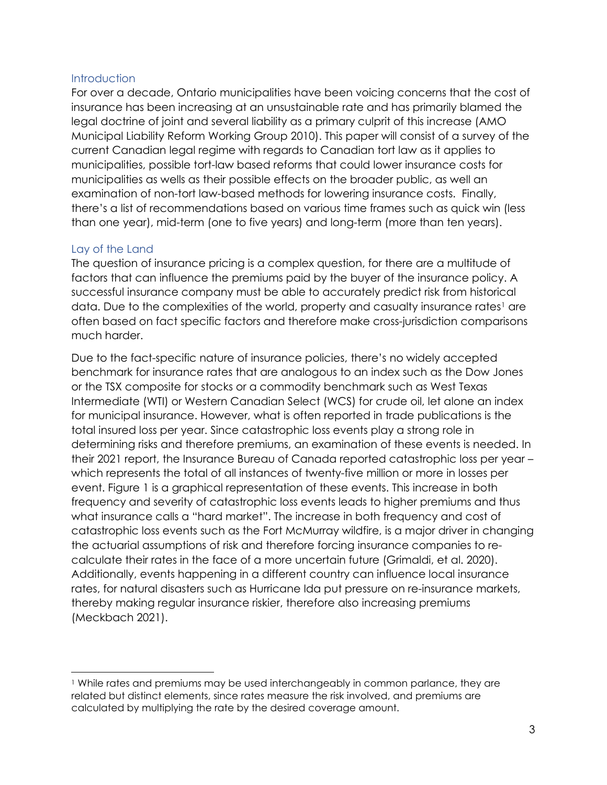#### **Introduction**

For over a decade, Ontario municipalities have been voicing concerns that the cost of insurance has been increasing at an unsustainable rate and has primarily blamed the legal doctrine of joint and several liability as a primary culprit of this increase (AMO Municipal Liability Reform Working Group 2010). This paper will consist of a survey of the current Canadian legal regime with regards to Canadian tort law as it applies to municipalities, possible tort-law based reforms that could lower insurance costs for municipalities as wells as their possible effects on the broader public, as well an examination of non-tort law-based methods for lowering insurance costs. Finally, there's a list of recommendations based on various time frames such as quick win (less than one year), mid-term (one to five years) and long-term (more than ten years).

## Lay of the Land

The question of insurance pricing is a complex question, for there are a multitude of factors that can influence the premiums paid by the buyer of the insurance policy. A successful insurance company must be able to accurately predict risk from historical data. Due to the complexities of the world, property and casualty insurance rates<sup>[1](#page-2-0)</sup> are often based on fact specific factors and therefore make cross-jurisdiction comparisons much harder.

Due to the fact-specific nature of insurance policies, there's no widely accepted benchmark for insurance rates that are analogous to an index such as the Dow Jones or the TSX composite for stocks or a commodity benchmark such as West Texas Intermediate (WTI) or Western Canadian Select (WCS) for crude oil, let alone an index for municipal insurance. However, what is often reported in trade publications is the total insured loss per year. Since catastrophic loss events play a strong role in determining risks and therefore premiums, an examination of these events is needed. In their 2021 report, the Insurance Bureau of Canada reported catastrophic loss per year – which represents the total of all instances of twenty-five million or more in losses per event. [Figure 1](#page-3-0) is a graphical representation of these events. This increase in both frequency and severity of catastrophic loss events leads to higher premiums and thus what insurance calls a "hard market". The increase in both frequency and cost of catastrophic loss events such as the Fort McMurray wildfire, is a major driver in changing the actuarial assumptions of risk and therefore forcing insurance companies to recalculate their rates in the face of a more uncertain future (Grimaldi, et al. 2020). Additionally, events happening in a different country can influence local insurance rates, for natural disasters such as Hurricane Ida put pressure on re-insurance markets, thereby making regular insurance riskier, therefore also increasing premiums (Meckbach 2021).

<span id="page-2-0"></span><sup>1</sup> While rates and premiums may be used interchangeably in common parlance, they are related but distinct elements, since rates measure the risk involved, and premiums are calculated by multiplying the rate by the desired coverage amount.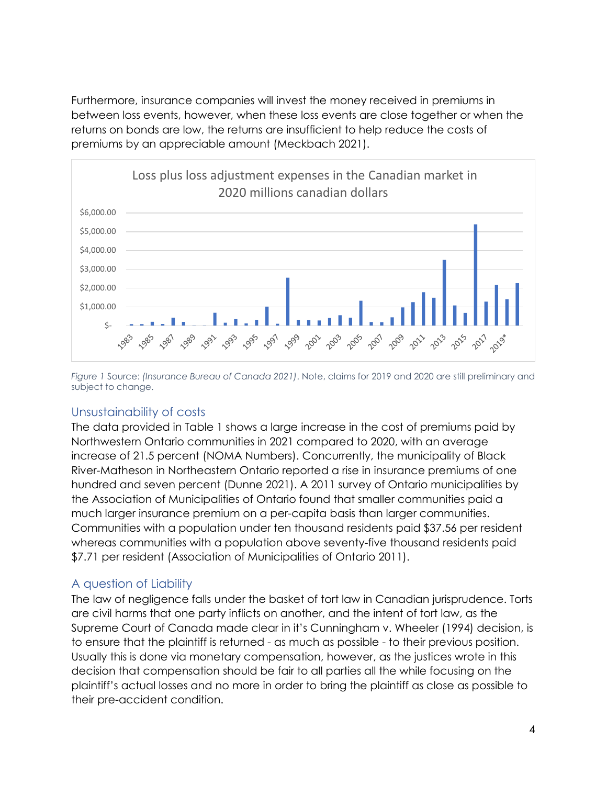Furthermore, insurance companies will invest the money received in premiums in between loss events, however, when these loss events are close together or when the returns on bonds are low, the returns are insufficient to help reduce the costs of premiums by an appreciable amount (Meckbach 2021).



<span id="page-3-0"></span>*Figure 1* Source: *(Insurance Bureau of Canada 2021)*. Note, claims for 2019 and 2020 are still preliminary and subject to change.

### Unsustainability of costs

The data provided in Table 1 shows a large increase in the cost of premiums paid by Northwestern Ontario communities in 2021 compared to 2020, with an average increase of 21.5 percent (NOMA Numbers). Concurrently, the municipality of Black River-Matheson in Northeastern Ontario reported a rise in insurance premiums of one hundred and seven percent (Dunne 2021). A 2011 survey of Ontario municipalities by the Association of Municipalities of Ontario found that smaller communities paid a much larger insurance premium on a per-capita basis than larger communities. Communities with a population under ten thousand residents paid \$37.56 per resident whereas communities with a population above seventy-five thousand residents paid \$7.71 per resident (Association of Municipalities of Ontario 2011).

# A question of Liability

The law of negligence falls under the basket of tort law in Canadian jurisprudence. Torts are civil harms that one party inflicts on another, and the intent of tort law, as the Supreme Court of Canada made clear in it's Cunningham v. Wheeler (1994) decision, is to ensure that the plaintiff is returned - as much as possible - to their previous position. Usually this is done via monetary compensation, however, as the justices wrote in this decision that compensation should be fair to all parties all the while focusing on the plaintiff's actual losses and no more in order to bring the plaintiff as close as possible to their pre-accident condition.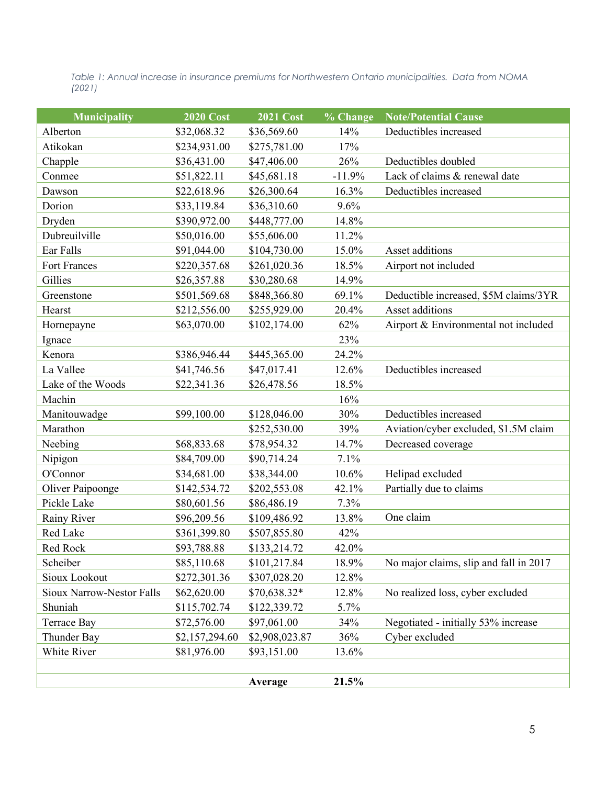*Table 1: Annual increase in insurance premiums for Northwestern Ontario municipalities. Data from NOMA (2021)*

| <b>Municipality</b>              | <b>2020 Cost</b> | <b>2021 Cost</b> | % Change | <b>Note/Potential Cause</b>            |
|----------------------------------|------------------|------------------|----------|----------------------------------------|
| Alberton                         | \$32,068.32      | \$36,569.60      | 14%      | Deductibles increased                  |
| Atikokan                         | \$234,931.00     | \$275,781.00     | 17%      |                                        |
| Chapple                          | \$36,431.00      | \$47,406.00      | 26%      | Deductibles doubled                    |
| Conmee                           | \$51,822.11      | \$45,681.18      | $-11.9%$ | Lack of claims & renewal date          |
| Dawson                           | \$22,618.96      | \$26,300.64      | 16.3%    | Deductibles increased                  |
| Dorion                           | \$33,119.84      | \$36,310.60      | 9.6%     |                                        |
| Dryden                           | \$390,972.00     | \$448,777.00     | 14.8%    |                                        |
| Dubreuilville                    | \$50,016.00      | \$55,606.00      | 11.2%    |                                        |
| Ear Falls                        | \$91,044.00      | \$104,730.00     | 15.0%    | Asset additions                        |
| <b>Fort Frances</b>              | \$220,357.68     | \$261,020.36     | 18.5%    | Airport not included                   |
| Gillies                          | \$26,357.88      | \$30,280.68      | 14.9%    |                                        |
| Greenstone                       | \$501,569.68     | \$848,366.80     | 69.1%    | Deductible increased, \$5M claims/3YR  |
| Hearst                           | \$212,556.00     | \$255,929.00     | 20.4%    | Asset additions                        |
| Hornepayne                       | \$63,070.00      | \$102,174.00     | 62%      | Airport & Environmental not included   |
| Ignace                           |                  |                  | 23%      |                                        |
| Kenora                           | \$386,946.44     | \$445,365.00     | 24.2%    |                                        |
| La Vallee                        | \$41,746.56      | \$47,017.41      | 12.6%    | Deductibles increased                  |
| Lake of the Woods                | \$22,341.36      | \$26,478.56      | 18.5%    |                                        |
| Machin                           |                  |                  | 16%      |                                        |
| Manitouwadge                     | \$99,100.00      | \$128,046.00     | 30%      | Deductibles increased                  |
| Marathon                         |                  | \$252,530.00     | 39%      | Aviation/cyber excluded, \$1.5M claim  |
| Neebing                          | \$68,833.68      | \$78,954.32      | 14.7%    | Decreased coverage                     |
| Nipigon                          | \$84,709.00      | \$90,714.24      | 7.1%     |                                        |
| O'Connor                         | \$34,681.00      | \$38,344.00      | 10.6%    | Helipad excluded                       |
| Oliver Paipoonge                 | \$142,534.72     | \$202,553.08     | 42.1%    | Partially due to claims                |
| Pickle Lake                      | \$80,601.56      | \$86,486.19      | 7.3%     |                                        |
| Rainy River                      | \$96,209.56      | \$109,486.92     | 13.8%    | One claim                              |
| Red Lake                         | \$361,399.80     | \$507,855.80     | 42%      |                                        |
| Red Rock                         | \$93,788.88      | \$133,214.72     | 42.0%    |                                        |
| Scheiber                         | \$85,110.68      | \$101,217.84     | 18.9%    | No major claims, slip and fall in 2017 |
| Sioux Lookout                    | \$272,301.36     | \$307,028.20     | 12.8%    |                                        |
| <b>Sioux Narrow-Nestor Falls</b> | \$62,620.00      | \$70,638.32*     | 12.8%    | No realized loss, cyber excluded       |
| Shuniah                          | \$115,702.74     | \$122,339.72     | 5.7%     |                                        |
| <b>Terrace Bay</b>               | \$72,576.00      | \$97,061.00      | 34%      | Negotiated - initially 53% increase    |
| Thunder Bay                      | \$2,157,294.60   | \$2,908,023.87   | 36%      | Cyber excluded                         |
| White River                      | \$81,976.00      | \$93,151.00      | 13.6%    |                                        |
|                                  |                  |                  |          |                                        |
|                                  |                  | Average          | 21.5%    |                                        |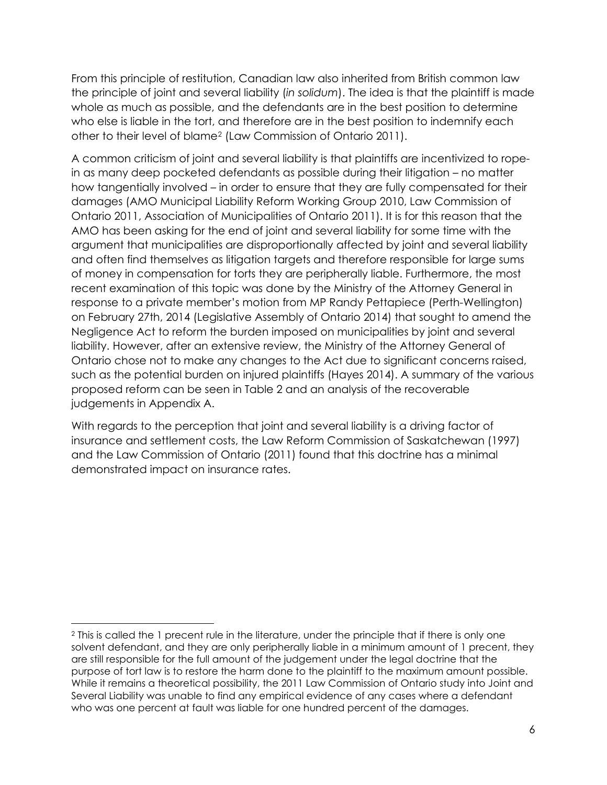From this principle of restitution, Canadian law also inherited from British common law the principle of joint and several liability (*in solidum*). The idea is that the plaintiff is made whole as much as possible, and the defendants are in the best position to determine who else is liable in the tort, and therefore are in the best position to indemnify each other to their level of blame[2](#page-5-0) (Law Commission of Ontario 2011).

A common criticism of joint and several liability is that plaintiffs are incentivized to ropein as many deep pocketed defendants as possible during their litigation – no matter how tangentially involved – in order to ensure that they are fully compensated for their damages (AMO Municipal Liability Reform Working Group 2010, Law Commission of Ontario 2011, Association of Municipalities of Ontario 2011). It is for this reason that the AMO has been asking for the end of joint and several liability for some time with the argument that municipalities are disproportionally affected by joint and several liability and often find themselves as litigation targets and therefore responsible for large sums of money in compensation for torts they are peripherally liable. Furthermore, the most recent examination of this topic was done by the Ministry of the Attorney General in response to a private member's motion from MP Randy Pettapiece (Perth-Wellington) on February 27th, 2014 (Legislative Assembly of Ontario 2014) that sought to amend the Negligence Act to reform the burden imposed on municipalities by joint and several liability. However, after an extensive review, the Ministry of the Attorney General of Ontario chose not to make any changes to the Act due to significant concerns raised, such as the potential burden on injured plaintiffs (Hayes 2014). A summary of the various proposed reform can be seen in Table 2 and an analysis of the recoverable judgements in Appendix A.

With regards to the perception that joint and several liability is a driving factor of insurance and settlement costs, the Law Reform Commission of Saskatchewan (1997) and the Law Commission of Ontario (2011) found that this doctrine has a minimal demonstrated impact on insurance rates.

<span id="page-5-0"></span><sup>2</sup> This is called the 1 precent rule in the literature, under the principle that if there is only one solvent defendant, and they are only peripherally liable in a minimum amount of 1 precent, they are still responsible for the full amount of the judgement under the legal doctrine that the purpose of tort law is to restore the harm done to the plaintiff to the maximum amount possible. While it remains a theoretical possibility, the 2011 Law Commission of Ontario study into Joint and Several Liability was unable to find any empirical evidence of any cases where a defendant who was one percent at fault was liable for one hundred percent of the damages.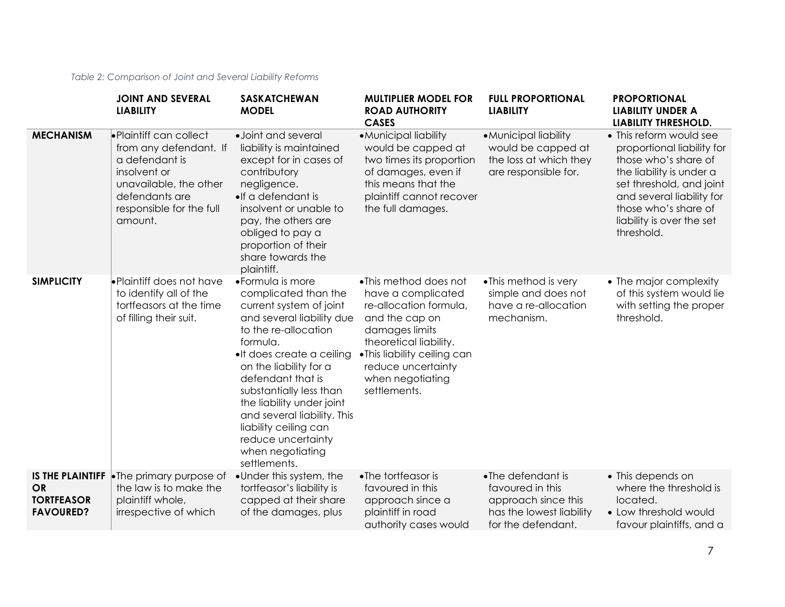#### *Table 2: Comparison of Joint and Several Liability Reforms*

|                                                    | <b>JOINT AND SEVERAL</b><br><b>LIABILITY</b>                                                                                                                           | <b>SASKATCHEWAN</b><br><b>MODEL</b>                                                                                                                                                                                                                                                                                                                                                         | <b>MULTIPLIER MODEL FOR</b><br><b>ROAD AUTHORITY</b><br><b>CASES</b>                                                                                                                                                         | <b>FULL PROPORTIONAL</b><br><b>LIABILITY</b>                                                                   | <b>PROPORTIONAL</b><br><b>LIABILITY UNDER A</b><br>LIABILITY THRESHOLD.                                                                                                                                                               |
|----------------------------------------------------|------------------------------------------------------------------------------------------------------------------------------------------------------------------------|---------------------------------------------------------------------------------------------------------------------------------------------------------------------------------------------------------------------------------------------------------------------------------------------------------------------------------------------------------------------------------------------|------------------------------------------------------------------------------------------------------------------------------------------------------------------------------------------------------------------------------|----------------------------------------------------------------------------------------------------------------|---------------------------------------------------------------------------------------------------------------------------------------------------------------------------------------------------------------------------------------|
| <b>MECHANISM</b>                                   | • Plaintiff can collect<br>from any defendant. If<br>a defendant is<br>insolvent or<br>unavailable, the other<br>defendants are<br>responsible for the full<br>amount. | · Joint and several<br>liability is maintained<br>except for in cases of<br>contributory<br>negligence.<br>•If a defendant is<br>insolvent or unable to<br>pay, the others are<br>obliged to pay a<br>proportion of their<br>share towards the<br>plaintiff.                                                                                                                                | • Municipal liability<br>would be capped at<br>two times its proportion<br>of damages, even if<br>this means that the<br>plaintiff cannot recover<br>the full damages.                                                       | • Municipal liability<br>would be capped at<br>the loss at which they<br>are responsible for.                  | • This reform would see<br>proportional liability for<br>those who's share of<br>the liability is under a<br>set threshold, and joint<br>and several liability for<br>those who's share of<br>liability is over the set<br>threshold. |
| <b>SIMPLICITY</b>                                  | •Plaintiff does not have<br>to identify all of the<br>tortfeasors at the time<br>of filling their suit.                                                                | • Formula is more<br>complicated than the<br>current system of joint<br>and several liability due<br>to the re-allocation<br>formula.<br>•It does create a ceiling<br>on the liability for a<br>defendant that is<br>substantially less than<br>the liability under joint<br>and several liability. This<br>liability ceiling can<br>reduce uncertainty<br>when negotiating<br>settlements. | •This method does not<br>have a complicated<br>re-allocation formula,<br>and the cap on<br>damages limits<br>theoretical liability.<br>•This liability ceiling can<br>reduce uncertainty<br>when negotiating<br>settlements. | • This method is very<br>simple and does not<br>have a re-allocation<br>mechanism.                             | • The major complexity<br>of this system would lie<br>with setting the proper<br>threshold.                                                                                                                                           |
| <b>OR</b><br><b>TORTFEASOR</b><br><b>FAVOURED?</b> | <b>IS THE PLAINTIFF</b> $\bullet$ The primary purpose of<br>the law is to make the<br>plaintiff whole,<br>irrespective of which                                        | •Under this system, the<br>tortfeasor's liability is<br>capped at their share<br>of the damages, plus                                                                                                                                                                                                                                                                                       | •The tortfeasor is<br>favoured in this<br>approach since a<br>plaintiff in road<br>authority cases would                                                                                                                     | •The defendant is<br>favoured in this<br>approach since this<br>has the lowest liability<br>for the defendant. | • This depends on<br>where the threshold is<br>located.<br>• Low threshold would<br>favour plaintiffs, and a                                                                                                                          |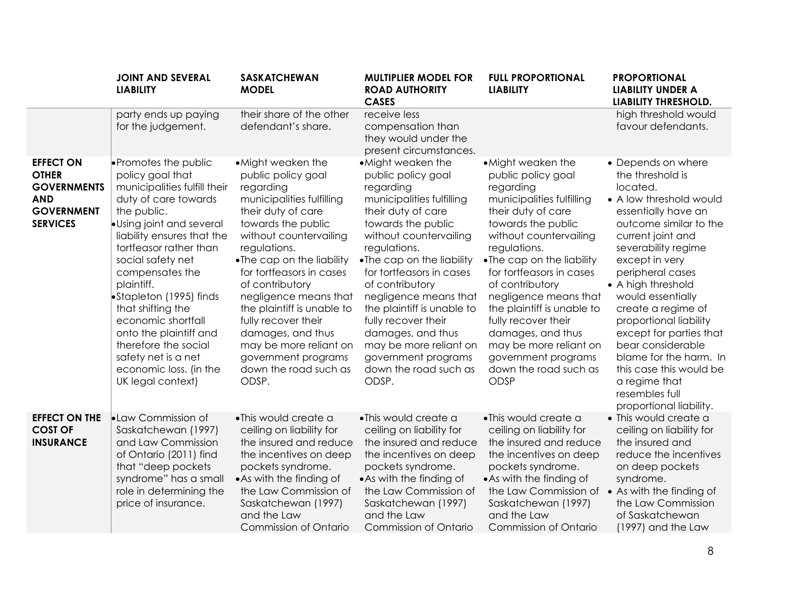|                                                                                                              | <b>JOINT AND SEVERAL</b><br><b>LIABILITY</b>                                                                                                                                                                                                                                                                                                                                                                                                           | <b>SASKATCHEWAN</b><br><b>MODEL</b>                                                                                                                                                                                                                                                                                                                                                                                                        | <b>MULTIPLIER MODEL FOR</b><br><b>ROAD AUTHORITY</b><br><b>CASES</b>                                                                                                                                                                                                                                                                                                                                                                       | <b>FULL PROPORTIONAL</b><br><b>LIABILITY</b>                                                                                                                                                                                                                                                                                                                                                                                              | <b>PROPORTIONAL</b><br><b>LIABILITY UNDER A</b><br><b>LIABILITY THRESHOLD.</b>                                                                                                                                                                                                                                                                                                                                                                                                 |
|--------------------------------------------------------------------------------------------------------------|--------------------------------------------------------------------------------------------------------------------------------------------------------------------------------------------------------------------------------------------------------------------------------------------------------------------------------------------------------------------------------------------------------------------------------------------------------|--------------------------------------------------------------------------------------------------------------------------------------------------------------------------------------------------------------------------------------------------------------------------------------------------------------------------------------------------------------------------------------------------------------------------------------------|--------------------------------------------------------------------------------------------------------------------------------------------------------------------------------------------------------------------------------------------------------------------------------------------------------------------------------------------------------------------------------------------------------------------------------------------|-------------------------------------------------------------------------------------------------------------------------------------------------------------------------------------------------------------------------------------------------------------------------------------------------------------------------------------------------------------------------------------------------------------------------------------------|--------------------------------------------------------------------------------------------------------------------------------------------------------------------------------------------------------------------------------------------------------------------------------------------------------------------------------------------------------------------------------------------------------------------------------------------------------------------------------|
|                                                                                                              | party ends up paying<br>for the judgement.                                                                                                                                                                                                                                                                                                                                                                                                             | their share of the other<br>defendant's share.                                                                                                                                                                                                                                                                                                                                                                                             | receive less<br>compensation than<br>they would under the<br>present circumstances.                                                                                                                                                                                                                                                                                                                                                        |                                                                                                                                                                                                                                                                                                                                                                                                                                           | high threshold would<br>favour defendants.                                                                                                                                                                                                                                                                                                                                                                                                                                     |
| <b>EFFECT ON</b><br><b>OTHER</b><br><b>GOVERNMENTS</b><br><b>AND</b><br><b>GOVERNMENT</b><br><b>SERVICES</b> | • Promotes the public<br>policy goal that<br>municipalities fulfill their<br>duty of care towards<br>the public.<br>Using joint and several<br>liability ensures that the<br>tortfeasor rather than<br>social safety net<br>compensates the<br>plaintiff.<br>Stapleton (1995) finds<br>that shifting the<br>economic shortfall<br>onto the plaintiff and<br>therefore the social<br>safety net is a net<br>economic loss. (in the<br>UK legal context) | • Might weaken the<br>public policy goal<br>regarding<br>municipalities fulfilling<br>their duty of care<br>towards the public<br>without countervailing<br>regulations.<br>•The cap on the liability<br>for tortfeasors in cases<br>of contributory<br>negligence means that<br>the plaintiff is unable to<br>fully recover their<br>damages, and thus<br>may be more reliant on<br>government programs<br>down the road such as<br>ODSP. | • Might weaken the<br>public policy goal<br>regarding<br>municipalities fulfilling<br>their duty of care<br>towards the public<br>without countervailing<br>regulations.<br>•The cap on the liability<br>for tortfeasors in cases<br>of contributory<br>negligence means that<br>the plaintiff is unable to<br>fully recover their<br>damages, and thus<br>may be more reliant on<br>government programs<br>down the road such as<br>ODSP. | • Might weaken the<br>public policy goal<br>regarding<br>municipalities fulfilling<br>their duty of care<br>towards the public<br>without countervailing<br>regulations.<br>•The cap on the liability<br>for tortfeasors in cases<br>of contributory<br>negligence means that<br>the plaintiff is unable to<br>fully recover their<br>damages, and thus<br>may be more reliant on<br>government programs<br>down the road such as<br>ODSP | • Depends on where<br>the threshold is<br>located.<br>• A low threshold would<br>essentially have an<br>outcome similar to the<br>current joint and<br>severability regime<br>except in very<br>peripheral cases<br>• A high threshold<br>would essentially<br>create a regime of<br>proportional liability<br>except for parties that<br>bear considerable<br>blame for the harm. In<br>this case this would be<br>a regime that<br>resembles full<br>proportional liability. |
| <b>EFFECT ON THE</b><br><b>COST OF</b><br><b>INSURANCE</b>                                                   | <b>Law Commission of</b><br>Saskatchewan (1997)<br>and Law Commission<br>of Ontario (2011) find<br>that "deep pockets<br>syndrome" has a small<br>role in determining the<br>price of insurance.                                                                                                                                                                                                                                                       | • This would create a<br>ceiling on liability for<br>the insured and reduce<br>the incentives on deep<br>pockets syndrome.<br>• As with the finding of<br>the Law Commission of<br>Saskatchewan (1997)<br>and the Law<br><b>Commission of Ontario</b>                                                                                                                                                                                      | •This would create a<br>ceiling on liability for<br>the insured and reduce<br>the incentives on deep<br>pockets syndrome.<br>• As with the finding of<br>the Law Commission of<br>Saskatchewan (1997)<br>and the Law<br><b>Commission of Ontario</b>                                                                                                                                                                                       | •This would create a<br>ceiling on liability for<br>the insured and reduce<br>the incentives on deep<br>pockets syndrome.<br>• As with the finding of<br>the Law Commission of • As with the finding of<br>Saskatchewan (1997)<br>and the Law<br><b>Commission of Ontario</b>                                                                                                                                                             | • This would create a<br>ceiling on liability for<br>the insured and<br>reduce the incentives<br>on deep pockets<br>syndrome.<br>the Law Commission<br>of Saskatchewan<br>(1997) and the Law                                                                                                                                                                                                                                                                                   |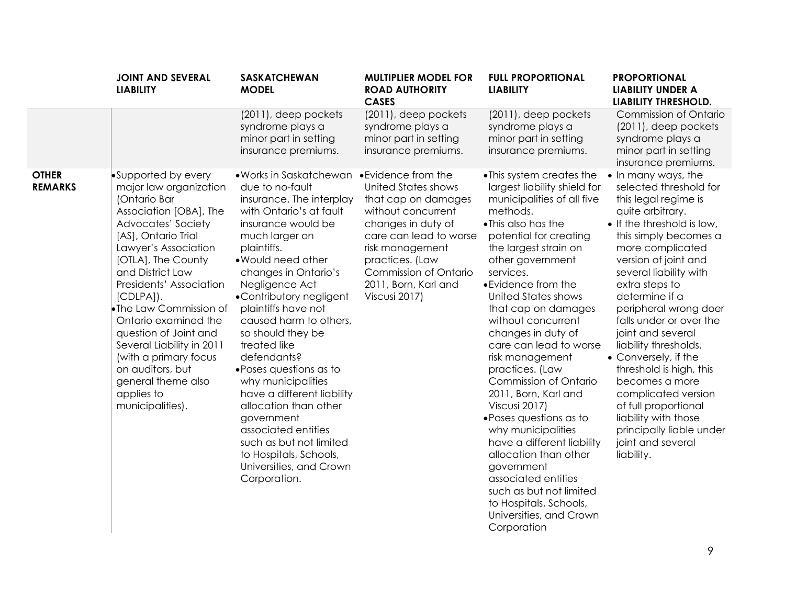|                                | <b>JOINT AND SEVERAL</b><br><b>LIABILITY</b>                                                                                                                                                                                                                                                                                                                                                                                                                   | <b>SASKATCHEWAN</b><br><b>MODEL</b>                                                                                                                                                                                                                                                                                                                                                                                                                                                                                                                                                                                     | <b>MULTIPLIER MODEL FOR</b><br><b>ROAD AUTHORITY</b><br><b>CASES</b>                                                                                                                                                            | <b>FULL PROPORTIONAL</b><br><b>LIABILITY</b>                                                                                                                                                                                                                                                                                                                                                                                                                                                                                                                                                                                                                                                                        | <b>PROPORTIONAL</b><br><b>LIABILITY UNDER A</b><br>LIABILITY THRESHOLD.                                                                                                                                                                                                                                                                                                                                                                                                                                                                                                 |
|--------------------------------|----------------------------------------------------------------------------------------------------------------------------------------------------------------------------------------------------------------------------------------------------------------------------------------------------------------------------------------------------------------------------------------------------------------------------------------------------------------|-------------------------------------------------------------------------------------------------------------------------------------------------------------------------------------------------------------------------------------------------------------------------------------------------------------------------------------------------------------------------------------------------------------------------------------------------------------------------------------------------------------------------------------------------------------------------------------------------------------------------|---------------------------------------------------------------------------------------------------------------------------------------------------------------------------------------------------------------------------------|---------------------------------------------------------------------------------------------------------------------------------------------------------------------------------------------------------------------------------------------------------------------------------------------------------------------------------------------------------------------------------------------------------------------------------------------------------------------------------------------------------------------------------------------------------------------------------------------------------------------------------------------------------------------------------------------------------------------|-------------------------------------------------------------------------------------------------------------------------------------------------------------------------------------------------------------------------------------------------------------------------------------------------------------------------------------------------------------------------------------------------------------------------------------------------------------------------------------------------------------------------------------------------------------------------|
|                                |                                                                                                                                                                                                                                                                                                                                                                                                                                                                | (2011), deep pockets<br>syndrome plays a<br>minor part in setting<br>insurance premiums.                                                                                                                                                                                                                                                                                                                                                                                                                                                                                                                                | (2011), deep pockets<br>syndrome plays a<br>minor part in setting<br>insurance premiums.                                                                                                                                        | $(2011)$ , deep pockets<br>syndrome plays a<br>minor part in setting<br>insurance premiums.                                                                                                                                                                                                                                                                                                                                                                                                                                                                                                                                                                                                                         | Commission of Ontario<br>$(2011)$ , deep pockets<br>syndrome plays a<br>minor part in setting<br>insurance premiums.                                                                                                                                                                                                                                                                                                                                                                                                                                                    |
| <b>OTHER</b><br><b>REMARKS</b> | •Supported by every<br>major law organization<br>(Ontario Bar<br>Association [OBA], The<br>Advocates' Society<br>[AS], Ontario Trial<br>Lawyer's Association<br>[OTLA], The County<br>and District Law<br>Presidents' Association<br>$[CDLPA]$ ).<br>•The Law Commission of<br>Ontario examined the<br>question of Joint and<br>Several Liability in 2011<br>(with a primary focus<br>on auditors, but<br>general theme also<br>applies to<br>municipalities). | •Works in Saskatchewan •Evidence from the<br>due to no-fault<br>insurance. The interplay<br>with Ontario's at fault<br>insurance would be<br>much larger on<br>plaintiffs.<br>. Would need other<br>changes in Ontario's<br>Negligence Act<br>•Contributory negligent<br>plaintiffs have not<br>caused harm to others,<br>so should they be<br>treated like<br>defendants?<br>• Poses questions as to<br>why municipalities<br>have a different liability<br>allocation than other<br>government<br>associated entities<br>such as but not limited<br>to Hospitals, Schools,<br>Universities, and Crown<br>Corporation. | <b>United States shows</b><br>that cap on damages<br>without concurrent<br>changes in duty of<br>care can lead to worse<br>risk management<br>practices. (Law<br>Commission of Ontario<br>2011, Born, Karl and<br>Viscusi 2017) | • This system creates the<br>largest liability shield for<br>municipalities of all five<br>methods.<br>•This also has the<br>potential for creating<br>the largest strain on<br>other government<br>services.<br>• Evidence from the<br><b>United States shows</b><br>that cap on damages<br>without concurrent<br>changes in duty of<br>care can lead to worse<br>risk management<br>practices. (Law<br>Commission of Ontario<br>2011, Born, Karl and<br>Viscusi 2017)<br>• Poses questions as to<br>why municipalities<br>have a different liability<br>allocation than other<br>government<br>associated entities<br>such as but not limited<br>to Hospitals, Schools,<br>Universities, and Crown<br>Corporation | • In many ways, the<br>selected threshold for<br>this legal regime is<br>quite arbitrary.<br>• If the threshold is low,<br>this simply becomes a<br>more complicated<br>version of joint and<br>several liability with<br>extra steps to<br>determine if a<br>peripheral wrong doer<br>falls under or over the<br>joint and several<br>liability thresholds.<br>• Conversely, if the<br>threshold is high, this<br>becomes a more<br>complicated version<br>of full proportional<br>liability with those<br>principally liable under<br>joint and several<br>liability. |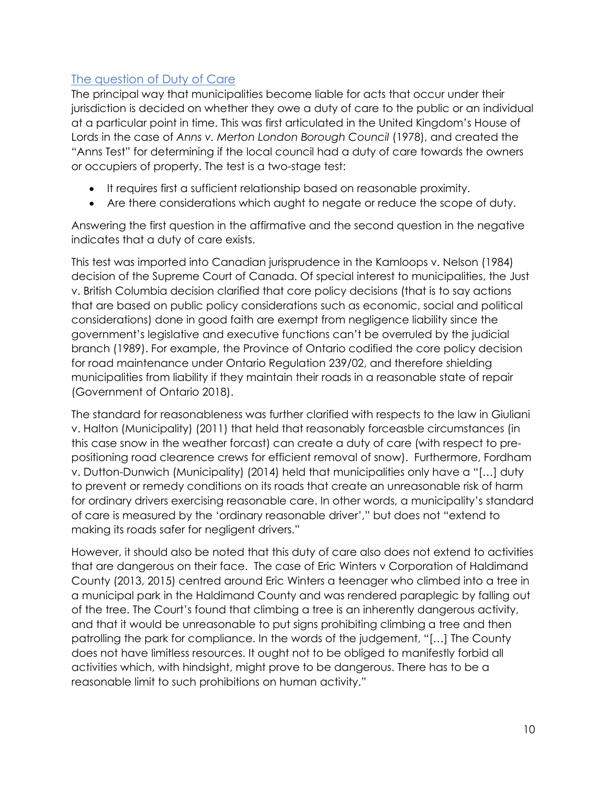# The question of Duty of Care

The principal way that municipalities become liable for acts that occur under their jurisdiction is decided on whether they owe a duty of care to the public or an individual at a particular point in time. This was first articulated in the United Kingdom's House of Lords in the case of *Anns v. Merton London Borough Council* (1978), and created the "Anns Test" for determining if the local council had a duty of care towards the owners or occupiers of property. The test is a two-stage test:

- It requires first a sufficient relationship based on reasonable proximity.
- Are there considerations which aught to negate or reduce the scope of duty.

Answering the first question in the affirmative and the second question in the negative indicates that a duty of care exists.

This test was imported into Canadian jurisprudence in the Kamloops v. Nelson (1984) decision of the Supreme Court of Canada. Of special interest to municipalities, the Just v. British Columbia decision clarified that core policy decisions (that is to say actions that are based on public policy considerations such as economic, social and political considerations) done in good faith are exempt from negligence liability since the government's legislative and executive functions can't be overruled by the judicial branch (1989). For example, the Province of Ontario codified the core policy decision for road maintenance under Ontario Regulation 239/02, and therefore shielding municipalities from liability if they maintain their roads in a reasonable state of repair (Government of Ontario 2018).

The standard for reasonableness was further clarified with respects to the law in Giuliani v. Halton (Municipality) (2011) that held that reasonably forceasble circumstances (in this case snow in the weather forcast) can create a duty of care (with respect to prepositioning road clearence crews for efficient removal of snow). Furthermore, Fordham v. Dutton-Dunwich (Municipality) (2014) held that municipalities only have a "[…] duty to prevent or remedy conditions on its roads that create an unreasonable risk of harm for ordinary drivers exercising reasonable care. In other words, a municipality's standard of care is measured by the 'ordinary reasonable driver'," but does not "extend to making its roads safer for negligent drivers."

However, it should also be noted that this duty of care also does not extend to activities that are dangerous on their face. The case of Eric Winters v Corporation of Haldimand County (2013, 2015) centred around Eric Winters a teenager who climbed into a tree in a municipal park in the Haldimand County and was rendered paraplegic by falling out of the tree. The Court's found that climbing a tree is an inherently dangerous activity, and that it would be unreasonable to put signs prohibiting climbing a tree and then patrolling the park for compliance. In the words of the judgement, "[…] The County does not have limitless resources. It ought not to be obliged to manifestly forbid all activities which, with hindsight, might prove to be dangerous. There has to be a reasonable limit to such prohibitions on human activity."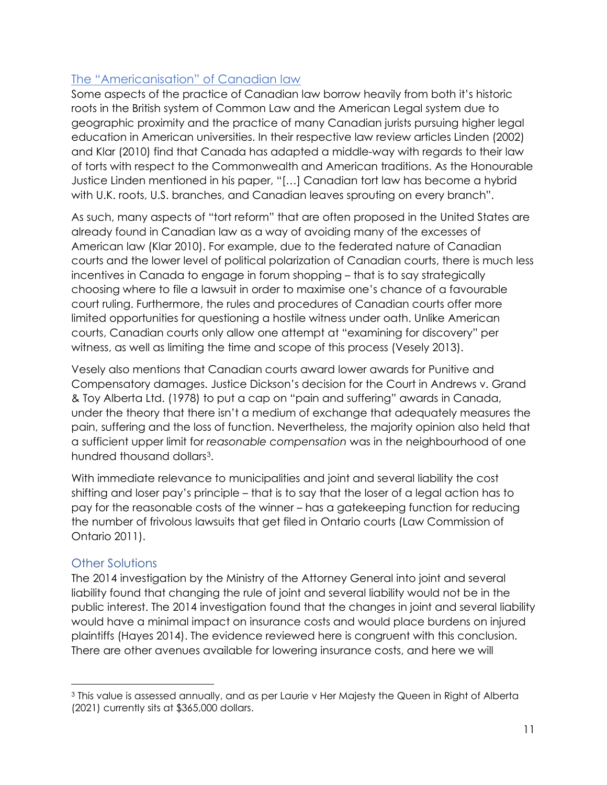# The "Americanisation" of Canadian law

Some aspects of the practice of Canadian law borrow heavily from both it's historic roots in the British system of Common Law and the American Legal system due to geographic proximity and the practice of many Canadian jurists pursuing higher legal education in American universities. In their respective law review articles Linden (2002) and Klar (2010) find that Canada has adapted a middle-way with regards to their law of torts with respect to the Commonwealth and American traditions. As the Honourable Justice Linden mentioned in his paper, "[…] Canadian tort law has become a hybrid with U.K. roots, U.S. branches, and Canadian leaves sprouting on every branch".

As such, many aspects of "tort reform" that are often proposed in the United States are already found in Canadian law as a way of avoiding many of the excesses of American law (Klar 2010). For example, due to the federated nature of Canadian courts and the lower level of political polarization of Canadian courts, there is much less incentives in Canada to engage in forum shopping – that is to say strategically choosing where to file a lawsuit in order to maximise one's chance of a favourable court ruling. Furthermore, the rules and procedures of Canadian courts offer more limited opportunities for questioning a hostile witness under oath. Unlike American courts, Canadian courts only allow one attempt at "examining for discovery" per witness, as well as limiting the time and scope of this process (Vesely 2013).

Vesely also mentions that Canadian courts award lower awards for Punitive and Compensatory damages. Justice Dickson's decision for the Court in Andrews v. Grand & Toy Alberta Ltd. (1978) to put a cap on "pain and suffering" awards in Canada, under the theory that there isn't a medium of exchange that adequately measures the pain, suffering and the loss of function. Nevertheless, the majority opinion also held that a sufficient upper limit for *reasonable compensation* was in the neighbourhood of one hundred thousand dollars[3.](#page-10-0)

With immediate relevance to municipalities and joint and several liability the cost shifting and loser pay's principle – that is to say that the loser of a legal action has to pay for the reasonable costs of the winner – has a gatekeeping function for reducing the number of frivolous lawsuits that get filed in Ontario courts (Law Commission of Ontario 2011).

# Other Solutions

The 2014 investigation by the Ministry of the Attorney General into joint and several liability found that changing the rule of joint and several liability would not be in the public interest. The 2014 investigation found that the changes in joint and several liability would have a minimal impact on insurance costs and would place burdens on injured plaintiffs (Hayes 2014). The evidence reviewed here is congruent with this conclusion. There are other avenues available for lowering insurance costs, and here we will

<span id="page-10-0"></span><sup>&</sup>lt;sup>3</sup> This value is assessed annually, and as per Laurie v Her Majesty the Queen in Right of Alberta (2021) currently sits at \$365,000 dollars.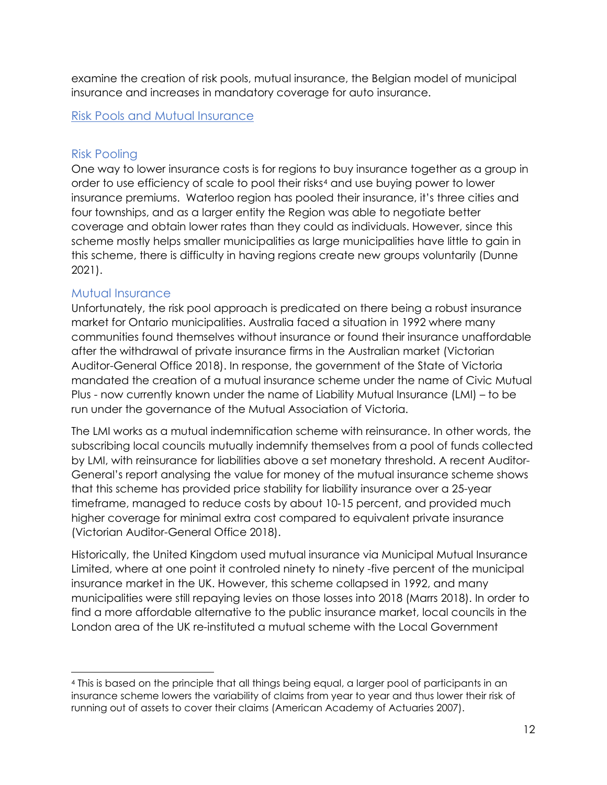examine the creation of risk pools, mutual insurance, the Belgian model of municipal insurance and increases in mandatory coverage for auto insurance.

#### Risk Pools and Mutual Insurance

#### Risk Pooling

One way to lower insurance costs is for regions to buy insurance together as a group in order to use efficiency of scale to pool their risks<sup>[4](#page-11-0)</sup> and use buying power to lower insurance premiums. Waterloo region has pooled their insurance, it's three cities and four townships, and as a larger entity the Region was able to negotiate better coverage and obtain lower rates than they could as individuals. However, since this scheme mostly helps smaller municipalities as large municipalities have little to gain in this scheme, there is difficulty in having regions create new groups voluntarily (Dunne 2021).

#### Mutual Insurance

Unfortunately, the risk pool approach is predicated on there being a robust insurance market for Ontario municipalities. Australia faced a situation in 1992 where many communities found themselves without insurance or found their insurance unaffordable after the withdrawal of private insurance firms in the Australian market (Victorian Auditor-General Office 2018). In response, the government of the State of Victoria mandated the creation of a mutual insurance scheme under the name of Civic Mutual Plus - now currently known under the name of Liability Mutual Insurance (LMI) – to be run under the governance of the Mutual Association of Victoria.

The LMI works as a mutual indemnification scheme with reinsurance. In other words, the subscribing local councils mutually indemnify themselves from a pool of funds collected by LMI, with reinsurance for liabilities above a set monetary threshold. A recent Auditor-General's report analysing the value for money of the mutual insurance scheme shows that this scheme has provided price stability for liability insurance over a 25-year timeframe, managed to reduce costs by about 10-15 percent, and provided much higher coverage for minimal extra cost compared to equivalent private insurance (Victorian Auditor-General Office 2018).

Historically, the United Kingdom used mutual insurance via Municipal Mutual Insurance Limited, where at one point it controled ninety to ninety -five percent of the municipal insurance market in the UK. However, this scheme collapsed in 1992, and many municipalities were still repaying levies on those losses into 2018 (Marrs 2018). In order to find a more affordable alternative to the public insurance market, local councils in the London area of the UK re-instituted a mutual scheme with the Local Government

<span id="page-11-0"></span><sup>4</sup> This is based on the principle that all things being equal, a larger pool of participants in an insurance scheme lowers the variability of claims from year to year and thus lower their risk of running out of assets to cover their claims (American Academy of Actuaries 2007).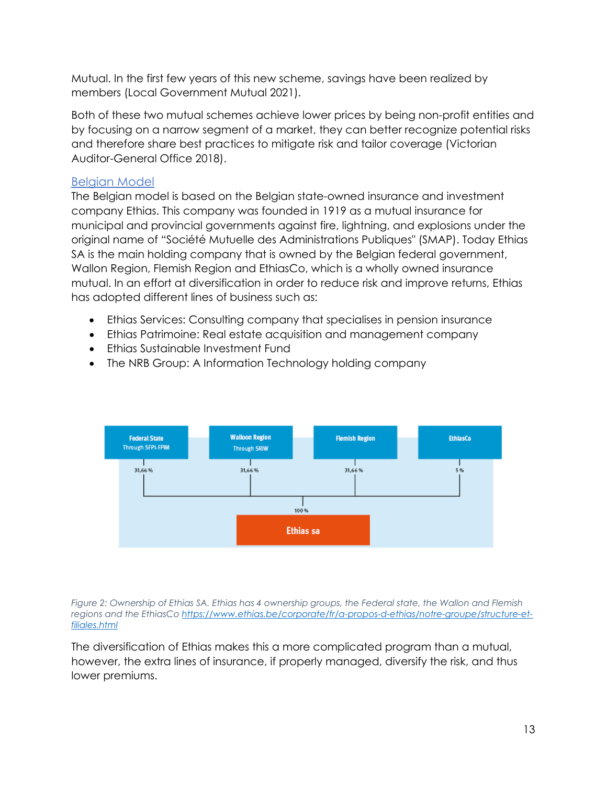Mutual. In the first few years of this new scheme, savings have been realized by members (Local Government Mutual 2021).

Both of these two mutual schemes achieve lower prices by being non-profit entities and by focusing on a narrow segment of a market, they can better recognize potential risks and therefore share best practices to mitigate risk and tailor coverage (Victorian Auditor-General Office 2018).

# Belgian Model

The Belgian model is based on the Belgian state-owned insurance and investment company Ethias. This company was founded in 1919 as a mutual insurance for municipal and provincial governments against fire, lightning, and explosions under the original name of "Société Mutuelle des Administrations Publiques" (SMAP). Today Ethias SA is the main holding company that is owned by the Belgian federal government, Wallon Region, Flemish Region and EthiasCo, which is a wholly owned insurance mutual. In an effort at diversification in order to reduce risk and improve returns, Ethias has adopted different lines of business such as:

- Ethias Services: Consulting company that specialises in pension insurance
- Ethias Patrimoine: Real estate acquisition and management company
- Ethias Sustainable Investment Fund
- The NRB Group: A Information Technology holding company



*Figure 2: Ownership of Ethias SA. Ethias has 4 ownership groups, the Federal state, the Wallon and Flemish regions and the EthiasC[o https://www.ethias.be/corporate/fr/a-propos-d-ethias/notre-groupe/structure-et](https://www.ethias.be/corporate/fr/a-propos-d-ethias/notre-groupe/structure-et-filiales.html)[filiales.html](https://www.ethias.be/corporate/fr/a-propos-d-ethias/notre-groupe/structure-et-filiales.html)*

The diversification of Ethias makes this a more complicated program than a mutual, however, the extra lines of insurance, if properly managed, diversify the risk, and thus lower premiums.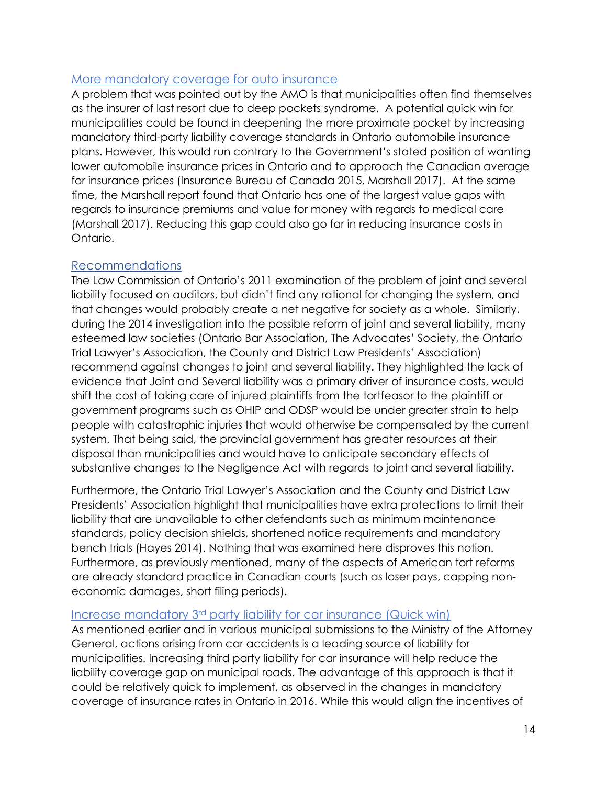## More mandatory coverage for auto insurance

A problem that was pointed out by the AMO is that municipalities often find themselves as the insurer of last resort due to deep pockets syndrome. A potential quick win for municipalities could be found in deepening the more proximate pocket by increasing mandatory third-party liability coverage standards in Ontario automobile insurance plans. However, this would run contrary to the Government's stated position of wanting lower automobile insurance prices in Ontario and to approach the Canadian average for insurance prices (Insurance Bureau of Canada 2015, Marshall 2017). At the same time, the Marshall report found that Ontario has one of the largest value gaps with regards to insurance premiums and value for money with regards to medical care (Marshall 2017). Reducing this gap could also go far in reducing insurance costs in Ontario.

# Recommendations

The Law Commission of Ontario's 2011 examination of the problem of joint and several liability focused on auditors, but didn't find any rational for changing the system, and that changes would probably create a net negative for society as a whole. Similarly, during the 2014 investigation into the possible reform of joint and several liability, many esteemed law societies (Ontario Bar Association, The Advocates' Society, the Ontario Trial Lawyer's Association, the County and District Law Presidents' Association) recommend against changes to joint and several liability. They highlighted the lack of evidence that Joint and Several liability was a primary driver of insurance costs, would shift the cost of taking care of injured plaintiffs from the tortfeasor to the plaintiff or government programs such as OHIP and ODSP would be under greater strain to help people with catastrophic injuries that would otherwise be compensated by the current system. That being said, the provincial government has greater resources at their disposal than municipalities and would have to anticipate secondary effects of substantive changes to the Negligence Act with regards to joint and several liability.

Furthermore, the Ontario Trial Lawyer's Association and the County and District Law Presidents' Association highlight that municipalities have extra protections to limit their liability that are unavailable to other defendants such as minimum maintenance standards, policy decision shields, shortened notice requirements and mandatory bench trials (Hayes 2014). Nothing that was examined here disproves this notion. Furthermore, as previously mentioned, many of the aspects of American tort reforms are already standard practice in Canadian courts (such as loser pays, capping noneconomic damages, short filing periods).

### Increase mandatory 3rd party liability for car insurance (Quick win)

As mentioned earlier and in various municipal submissions to the Ministry of the Attorney General, actions arising from car accidents is a leading source of liability for municipalities. Increasing third party liability for car insurance will help reduce the liability coverage gap on municipal roads. The advantage of this approach is that it could be relatively quick to implement, as observed in the changes in mandatory coverage of insurance rates in Ontario in 2016. While this would align the incentives of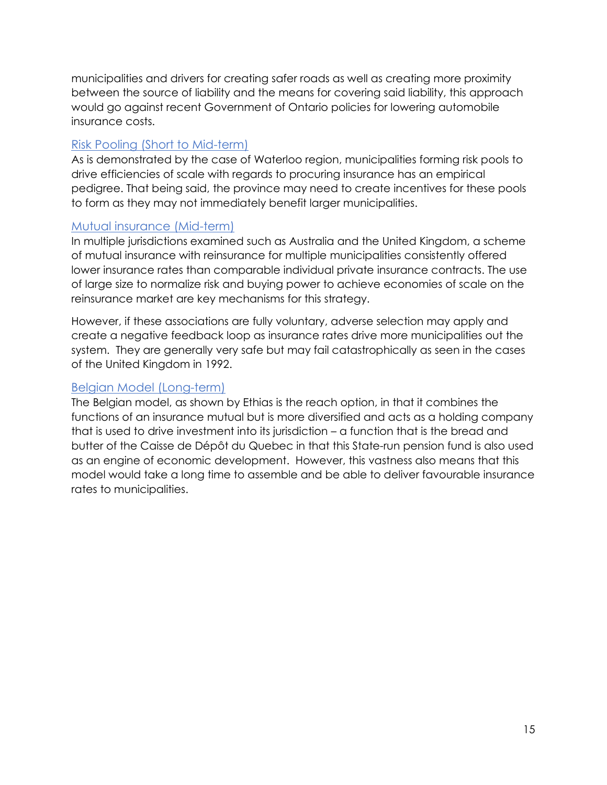municipalities and drivers for creating safer roads as well as creating more proximity between the source of liability and the means for covering said liability, this approach would go against recent Government of Ontario policies for lowering automobile insurance costs.

# Risk Pooling (Short to Mid-term)

As is demonstrated by the case of Waterloo region, municipalities forming risk pools to drive efficiencies of scale with regards to procuring insurance has an empirical pedigree. That being said, the province may need to create incentives for these pools to form as they may not immediately benefit larger municipalities.

# Mutual insurance (Mid-term)

In multiple jurisdictions examined such as Australia and the United Kingdom, a scheme of mutual insurance with reinsurance for multiple municipalities consistently offered lower insurance rates than comparable individual private insurance contracts. The use of large size to normalize risk and buying power to achieve economies of scale on the reinsurance market are key mechanisms for this strategy.

However, if these associations are fully voluntary, adverse selection may apply and create a negative feedback loop as insurance rates drive more municipalities out the system. They are generally very safe but may fail catastrophically as seen in the cases of the United Kingdom in 1992.

# Belgian Model (Long-term)

The Belgian model, as shown by Ethias is the reach option, in that it combines the functions of an insurance mutual but is more diversified and acts as a holding company that is used to drive investment into its jurisdiction – a function that is the bread and butter of the Caisse de Dépôt du Quebec in that this State-run pension fund is also used as an engine of economic development. However, this vastness also means that this model would take a long time to assemble and be able to deliver favourable insurance rates to municipalities.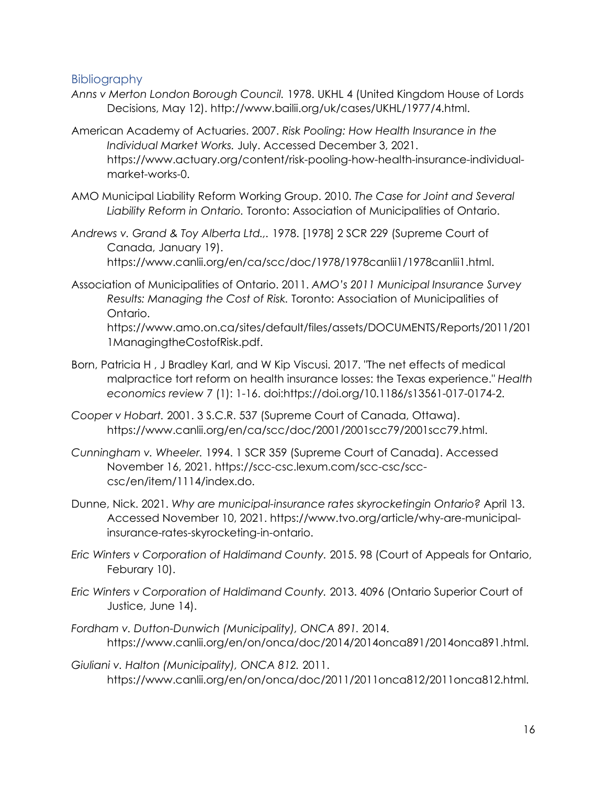### **Bibliography**

- *Anns v Merton London Borough Council.* 1978. UKHL 4 (United Kingdom House of Lords Decisions, May 12). http://www.bailii.org/uk/cases/UKHL/1977/4.html.
- American Academy of Actuaries. 2007. *Risk Pooling: How Health Insurance in the Individual Market Works.* July. Accessed December 3, 2021. https://www.actuary.org/content/risk-pooling-how-health-insurance-individualmarket-works-0.
- AMO Municipal Liability Reform Working Group. 2010. *The Case for Joint and Several Liability Reform in Ontario.* Toronto: Association of Municipalities of Ontario.
- *Andrews v. Grand & Toy Alberta Ltd.,.* 1978. [1978] 2 SCR 229 (Supreme Court of Canada, January 19). https://www.canlii.org/en/ca/scc/doc/1978/1978canlii1/1978canlii1.html.
- Association of Municipalities of Ontario. 2011. *AMO's 2011 Municipal Insurance Survey Results: Managing the Cost of Risk.* Toronto: Association of Municipalities of Ontario.

https://www.amo.on.ca/sites/default/files/assets/DOCUMENTS/Reports/2011/201 1ManagingtheCostofRisk.pdf.

- Born, Patricia H , J Bradley Karl, and W Kip Viscusi. 2017. "The net effects of medical malpractice tort reform on health insurance losses: the Texas experience." *Health economics review* 7 (1): 1-16. doi:https://doi.org/10.1186/s13561-017-0174-2.
- *Cooper v Hobart.* 2001. 3 S.C.R. 537 (Supreme Court of Canada, Ottawa). https://www.canlii.org/en/ca/scc/doc/2001/2001scc79/2001scc79.html.
- *Cunningham v. Wheeler.* 1994. 1 SCR 359 (Supreme Court of Canada). Accessed November 16, 2021. https://scc-csc.lexum.com/scc-csc/scccsc/en/item/1114/index.do.
- Dunne, Nick. 2021. *Why are municipal-insurance rates skyrocketingin Ontario?* April 13. Accessed November 10, 2021. https://www.tvo.org/article/why-are-municipalinsurance-rates-skyrocketing-in-ontario.
- *Eric Winters v Corporation of Haldimand County.* 2015. 98 (Court of Appeals for Ontario, Feburary 10).
- *Eric Winters v Corporation of Haldimand County.* 2013. 4096 (Ontario Superior Court of Justice, June 14).
- *Fordham v. Dutton-Dunwich (Municipality), ONCA 891.* 2014. https://www.canlii.org/en/on/onca/doc/2014/2014onca891/2014onca891.html.
- *Giuliani v. Halton (Municipality), ONCA 812.* 2011. https://www.canlii.org/en/on/onca/doc/2011/2011onca812/2011onca812.html.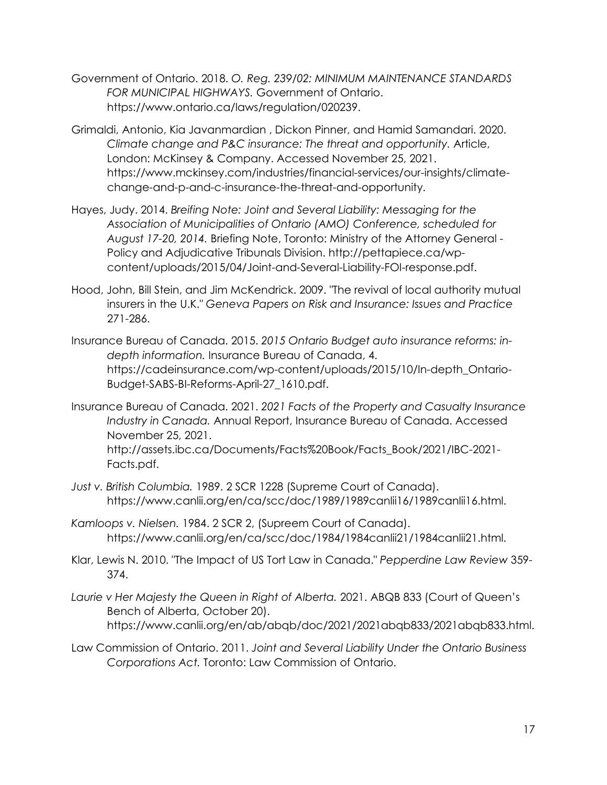- Government of Ontario. 2018. *O. Reg. 239/02: MINIMUM MAINTENANCE STANDARDS FOR MUNICIPAL HIGHWAYS.* Government of Ontario. https://www.ontario.ca/laws/regulation/020239.
- Grimaldi, Antonio, Kia Javanmardian , Dickon Pinner, and Hamid Samandari. 2020. *Climate change and P&C insurance: The threat and opportunity.* Article, London: McKinsey & Company. Accessed November 25, 2021. https://www.mckinsey.com/industries/financial-services/our-insights/climatechange-and-p-and-c-insurance-the-threat-and-opportunity.
- Hayes, Judy. 2014. *Breifing Note: Joint and Several Liability: Messaging for the Association of Municipalities of Ontario (AMO) Conference, scheduled for August 17-20, 2014.* Briefing Note, Toronto: Ministry of the Attorney General - Policy and Adjudicative Tribunals Division. http://pettapiece.ca/wpcontent/uploads/2015/04/Joint-and-Several-Liability-FOI-response.pdf.
- Hood, John, Bill Stein, and Jim McKendrick. 2009. "The revival of local authority mutual insurers in the U.K." *Geneva Papers on Risk and Insurance: Issues and Practice* 271-286.
- Insurance Bureau of Canada. 2015. *2015 Ontario Budget auto insurance reforms: indepth information.* Insurance Bureau of Canada, 4. https://cadeinsurance.com/wp-content/uploads/2015/10/In-depth\_Ontario-Budget-SABS-BI-Reforms-April-27\_1610.pdf.
- Insurance Bureau of Canada. 2021. *2021 Facts of the Property and Casualty Insurance Industry in Canada.* Annual Report, Insurance Bureau of Canada. Accessed November 25, 2021. http://assets.ibc.ca/Documents/Facts%20Book/Facts\_Book/2021/IBC-2021- Facts.pdf.
- *Just v. British Columbia.* 1989. 2 SCR 1228 (Supreme Court of Canada). https://www.canlii.org/en/ca/scc/doc/1989/1989canlii16/1989canlii16.html.
- *Kamloops v. Nielsen.* 1984. 2 SCR 2, (Supreem Court of Canada). https://www.canlii.org/en/ca/scc/doc/1984/1984canlii21/1984canlii21.html.
- Klar, Lewis N. 2010. "The Impact of US Tort Law in Canada." *Pepperdine Law Review* 359- 374.
- *Laurie v Her Majesty the Queen in Right of Alberta.* 2021. ABQB 833 (Court of Queen's Bench of Alberta, October 20). https://www.canlii.org/en/ab/abqb/doc/2021/2021abqb833/2021abqb833.html.
- Law Commission of Ontario. 2011. *Joint and Several Liability Under the Ontario Business Corporations Act.* Toronto: Law Commission of Ontario.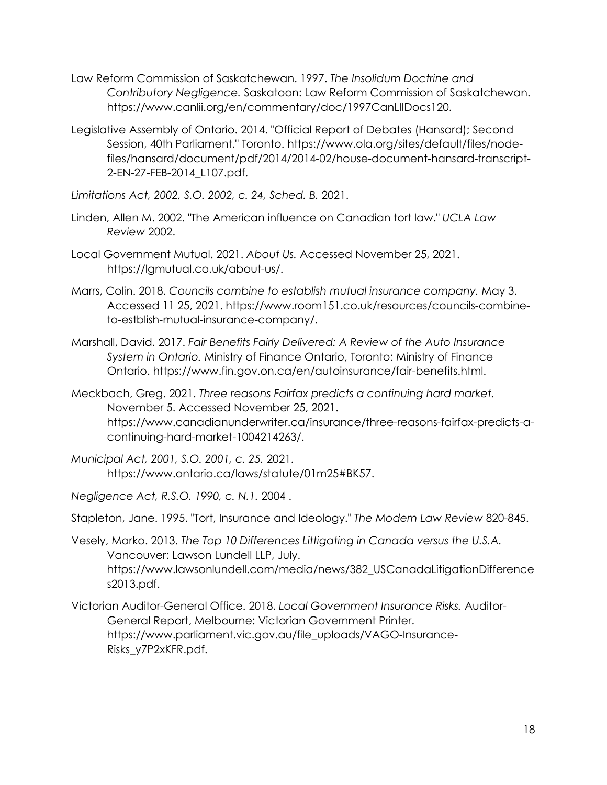- Law Reform Commission of Saskatchewan. 1997. *The Insolidum Doctrine and Contributory Negligence.* Saskatoon: Law Reform Commission of Saskatchewan. https://www.canlii.org/en/commentary/doc/1997CanLIIDocs120.
- Legislative Assembly of Ontario. 2014. "Official Report of Debates (Hansard); Second Session, 40th Parliament." Toronto. https://www.ola.org/sites/default/files/nodefiles/hansard/document/pdf/2014/2014-02/house-document-hansard-transcript-2-EN-27-FEB-2014\_L107.pdf.
- *Limitations Act, 2002, S.O. 2002, c. 24, Sched. B.* 2021.
- Linden, Allen M. 2002. "The American influence on Canadian tort law." *UCLA Law Review* 2002.
- Local Government Mutual. 2021. *About Us.* Accessed November 25, 2021. https://lgmutual.co.uk/about-us/.
- Marrs, Colin. 2018. *Councils combine to establish mutual insurance company.* May 3. Accessed 11 25, 2021. https://www.room151.co.uk/resources/councils-combineto-estblish-mutual-insurance-company/.
- Marshall, David. 2017. *Fair Benefits Fairly Delivered: A Review of the Auto Insurance System in Ontario.* Ministry of Finance Ontario, Toronto: Ministry of Finance Ontario. https://www.fin.gov.on.ca/en/autoinsurance/fair-benefits.html.
- Meckbach, Greg. 2021. *Three reasons Fairfax predicts a continuing hard market.* November 5. Accessed November 25, 2021. https://www.canadianunderwriter.ca/insurance/three-reasons-fairfax-predicts-acontinuing-hard-market-1004214263/.
- *Municipal Act, 2001, S.O. 2001, c. 25.* 2021. https://www.ontario.ca/laws/statute/01m25#BK57.
- *Negligence Act, R.S.O. 1990, c. N.1.* 2004 .

Stapleton, Jane. 1995. "Tort, Insurance and Ideology." *The Modern Law Review* 820-845.

- Vesely, Marko. 2013. *The Top 10 Differences Littigating in Canada versus the U.S.A.* Vancouver: Lawson Lundell LLP, July. https://www.lawsonlundell.com/media/news/382\_USCanadaLitigationDifference s2013.pdf.
- Victorian Auditor-General Office. 2018. *Local Government Insurance Risks.* Auditor-General Report, Melbourne: Victorian Government Printer. https://www.parliament.vic.gov.au/file\_uploads/VAGO-Insurance-Risks\_y7P2xKFR.pdf.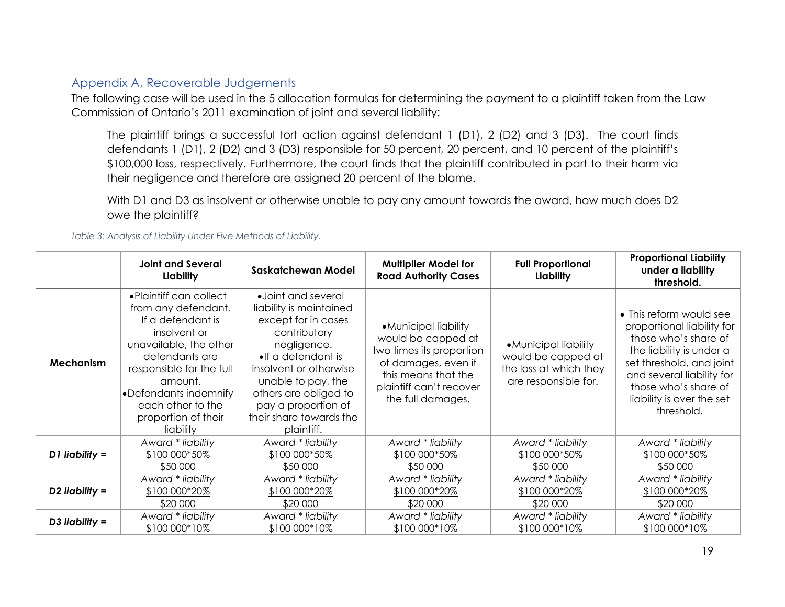### Appendix A, Recoverable Judgements

The following case will be used in the 5 allocation formulas for determining the payment to a plaintiff taken from the Law Commission of Ontario's 2011 examination of joint and several liability:

The plaintiff brings a successful tort action against defendant 1 (D1), 2 (D2) and 3 (D3). The court finds defendants 1 (D1), 2 (D2) and 3 (D3) responsible for 50 percent, 20 percent, and 10 percent of the plaintiff's \$100,000 loss, respectively. Furthermore, the court finds that the plaintiff contributed in part to their harm via their negligence and therefore are assigned 20 percent of the blame.

With D1 and D3 as insolvent or otherwise unable to pay any amount towards the award, how much does D2 owe the plaintiff?

*Table 3: Analysis of Liability Under Five Methods of Liability.*

|                | <b>Joint and Several</b><br>Liability                                                                                                                                                                                                                    | <b>Saskatchewan Model</b>                                                                                                                                                                                                                                                    | <b>Multiplier Model for</b><br><b>Road Authority Cases</b>                                                                                                            | <b>Full Proportional</b><br>Liability                                                         | <b>Proportional Liability</b><br>under a liability<br>threshold.                                                                                                                                                                      |
|----------------|----------------------------------------------------------------------------------------------------------------------------------------------------------------------------------------------------------------------------------------------------------|------------------------------------------------------------------------------------------------------------------------------------------------------------------------------------------------------------------------------------------------------------------------------|-----------------------------------------------------------------------------------------------------------------------------------------------------------------------|-----------------------------------------------------------------------------------------------|---------------------------------------------------------------------------------------------------------------------------------------------------------------------------------------------------------------------------------------|
| Mechanism      | • Plaintiff can collect<br>from any defendant.<br>If a defendant is<br>insolvent or<br>unavailable, the other<br>defendants are<br>responsible for the full<br>amount.<br>•Defendants indemnify<br>each other to the<br>proportion of their<br>liability | • Joint and several<br>liability is maintained<br>except for in cases<br>contributory<br>negligence.<br>$\bullet$ If a defendant is<br>insolvent or otherwise<br>unable to pay, the<br>others are obliged to<br>pay a proportion of<br>their share towards the<br>plaintiff. | • Municipal liability<br>would be capped at<br>two times its proportion<br>of damages, even if<br>this means that the<br>plaintiff can't recover<br>the full damages. | • Municipal liability<br>would be capped at<br>the loss at which they<br>are responsible for. | • This reform would see<br>proportional liability for<br>those who's share of<br>the liability is under a<br>set threshold, and joint<br>and several liability for<br>those who's share of<br>liability is over the set<br>threshold. |
| D1 liability = | Award * liability                                                                                                                                                                                                                                        | Award * liability                                                                                                                                                                                                                                                            | Award * liability                                                                                                                                                     | Award * liability                                                                             | Award * liability                                                                                                                                                                                                                     |
|                | \$100 000*50%                                                                                                                                                                                                                                            | \$100 000*50%                                                                                                                                                                                                                                                                | \$100 000*50%                                                                                                                                                         | \$100 000*50%                                                                                 | \$100 000*50%                                                                                                                                                                                                                         |
|                | \$50 000                                                                                                                                                                                                                                                 | \$50 000                                                                                                                                                                                                                                                                     | \$50 000                                                                                                                                                              | \$50 000                                                                                      | \$50 000                                                                                                                                                                                                                              |
| D2 liability = | Award * liability                                                                                                                                                                                                                                        | Award * liability                                                                                                                                                                                                                                                            | Award * liability                                                                                                                                                     | Award * liability                                                                             | Award * liability                                                                                                                                                                                                                     |
|                | \$100 000*20%                                                                                                                                                                                                                                            | \$100 000*20%                                                                                                                                                                                                                                                                | \$100 000*20%                                                                                                                                                         | \$100 000*20%                                                                                 | \$100 000*20%                                                                                                                                                                                                                         |
|                | \$20 000                                                                                                                                                                                                                                                 | \$20 000                                                                                                                                                                                                                                                                     | \$20 000                                                                                                                                                              | \$20 000                                                                                      | \$20 000                                                                                                                                                                                                                              |
| D3 liability = | Award * liability                                                                                                                                                                                                                                        | Award * liability                                                                                                                                                                                                                                                            | Award * liability                                                                                                                                                     | Award * liability                                                                             | Award * liability                                                                                                                                                                                                                     |
|                | \$100 000*10%                                                                                                                                                                                                                                            | \$100 000*10%                                                                                                                                                                                                                                                                | \$100 000*10%                                                                                                                                                         | \$100 000*10%                                                                                 | \$100 000*10%                                                                                                                                                                                                                         |